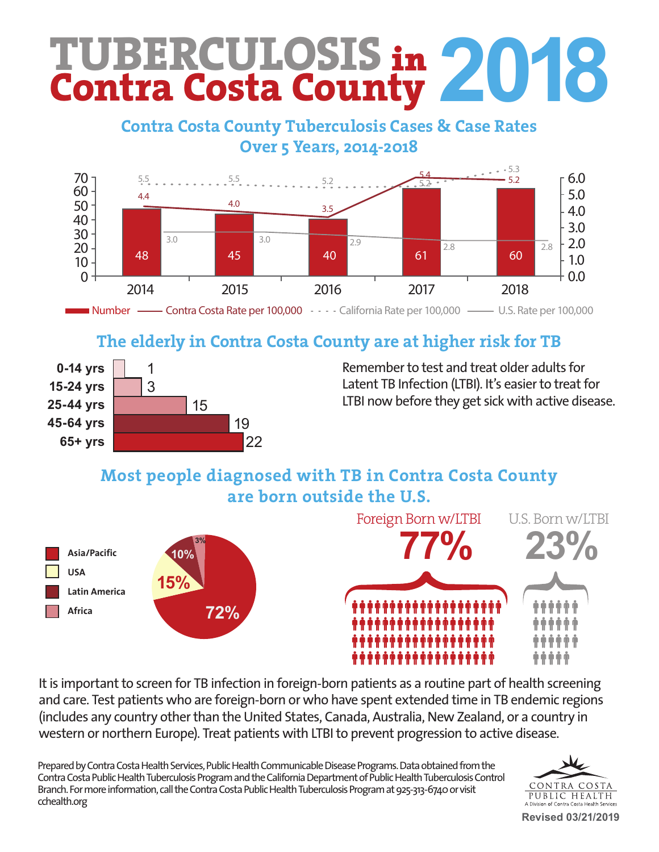# **TUBERCULOSIS** in **Contra Costa County 2018**

#### Contra Costa County Tuberculosis Cases & Case Rates **Contra Contra Contra Contra Contra Contra Contra Contra Contra Contra Contra Contra Contra Contra Contra Contra Contra Contra Contra Contra Contra Contra Contra Contra Contra Contra Contra Contra Contra Contra Contra Cont**  $h^{0.1}$  health workforce, in the past 100 years, TB has gone  $B$ **Contra Costa County Tuberculosis Cases & Case Rates**



#### The alderly in Centre Cects The enterly in Contra Costa we are charged with the TD The elderly in Contra Costa County are at higher risk for TB



Remember to test and treat older adults for  $\frac{1}{2}$  and the spread of the spread of  $\frac{1}{2}$  in  $\frac{1}{2}$  in  $\frac{1}{2}$  in  $\frac{1}{2}$  in  $\frac{1}{2}$  in  $\frac{1}{2}$  in  $\frac{1}{2}$  in  $\frac{1}{2}$  in  $\frac{1}{2}$  in  $\frac{1}{2}$  in  $\frac{1}{2}$  in  $\frac{1}{2}$  in  $\frac{1}{2}$  in  $\frac{1}{2}$  Latent TB Infection (LTBI). It's easier to treat for LTBI now before they get sick with active disease.

#### **Most people diagnosed with TB in Contra Costa County**  $h \cdot 1$  complexes and and suffer a painful procedure far from home.  $i$ de bedished by intensive case management,  $i$ thorough contact investigations and daily home **are born outside the U.S.**



It is important to screen for TB infection in foreign-born patients as a routine part of health screening and care. Test patients who are foreign-born or who have spent extended time in TB endemic regions (includes any country other than the United States, Canada, Australia, New Zealand, or a country in western or northern Europe). Treat patients with LTBI to prevent progression to active disease.

Prepared by Contra Costa Health Services, Public Health Communicable Disease Programs. Data obtained from the Contra Costa Public Health Tuberculosis Program and the California Department of Public Health Tuberculosis Control Branch. For more information, call the Contra Costa Public Health Tuberculosis Program at 925-313-6740 or visit cchealth.org



**Revised 03/21/2019**